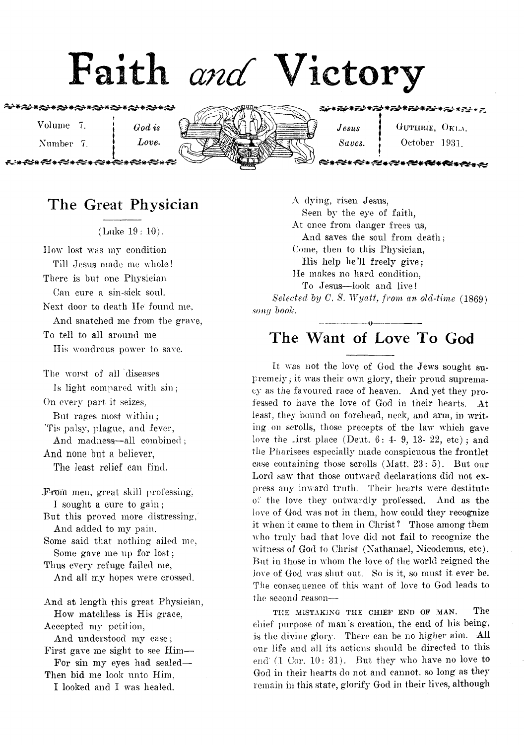# Faith and Victory

<del>⋰</del>

Volume 7. **j** *God is* 

»

Number 7. *Love*.



 $J \text{ } e \text{ } s \text{ } u \text{s} \text{ }$  j G uthrie, O<sub>K La.</sub>

*Saves.* | October 1931.

# **The Great Physician**

(Luke 19: 10).

How lost was my condition Till Jesus made me whole! There is but one Physician Can cure a sin-sick soul. Next door to death lie found me. And snatched me from the grave, To tell to all around me

IIis wondrous power to save.

The worst of all diseases Is light compared with sin; On every part it seizes, But rages most within; Tis palsy, plague, and fever, And madness-all combined; And none but a believer, The least relief can find.

From men, great skill professing, I sought a cure to gain; But this proved more distressing, And added to my pain. Some said that nothing ailed me, Some gave me up for lost; Thus every refuge failed me, And all my hopes were crossed. And at length this great Physician, How matchless is His grace, Accepted my petition, And understood my case; First gave me sight to see Him— For sin my eyes had sealed— Then bid me look unto Him,

I looked and I was healed.

A dying, risen Jesus, Seen by the eye of faith, At once from danger frees us, And saves the soul from death; Come, then to this Physician, His help he?ll freely give; lie makes no hard condition, To Jesus— look and live! *Selected by C. S. Wyatt, from an old-time* (1869) *sony book*.

## --------------------------------0 ------------------------.— . The Want of Love To God

It was not the love of God the Jews sought supremely; it was their own glory, their proud supremacy as the favoured race of heaven. And yet they professed to have the love of God in their hearts. At least, they bound on forehead, neck, and arm, in writing on scrolls, those precepts of the law which gave love the Lirst place (Deut,  $6: 4-9$ , 13- 22, etc); and the Pharisees especially made conspicuous the frontlet case containing those scrolls (Matt, 23: 5). But our Lord saw that those outward declarations did not express any inward truth. Their hearts were destitute  $o_i^{\nu}$  the love they outwardly professed. And as the love of God was not in them, how could they recognize it when it came to them in Christ ? Those among them who truly had that love did not fail to recognize the witness of God to Christ (Nathanael, Nicodemus, etc). But in those in whom the love of the world reigned the love of God was shut out. So is it, so must it ever be. The consequence of this want of love to God leads to the second reason—

**THE MISTAKING THE CHIEF END OF MAN.** The chief purpose of man's creation, the end of his being, is the divine glory. There can be no higher aim. All our life and all its actions should be directed to this end  $(1 \text{ Cor. } 10: 31)$ . But they who have no love to God in their hearts do not and cannot, so long as they remain in this state, glorify God in their lives, although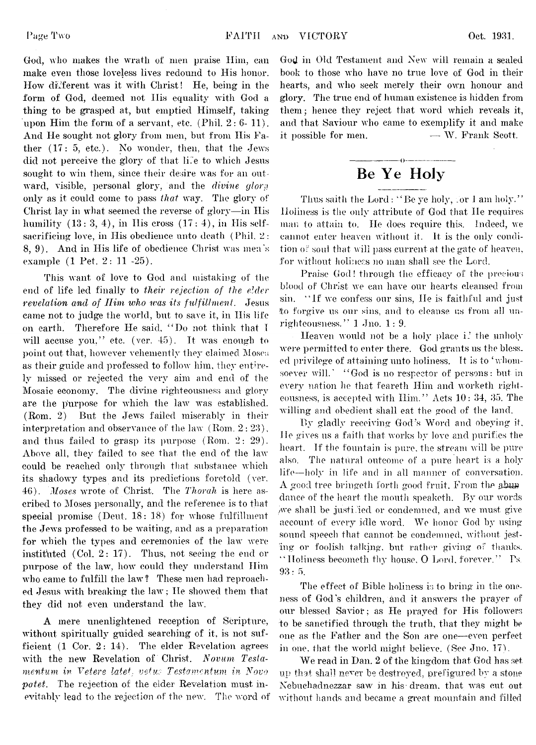God, who makes the wrath of men praise Him, can make even those loveless lives redound to His honor. How different was it with Christ! He, being in the form of God, deemed not His equality with God a thing to be grasped at, but emptied Himself, taking upon Him the form of a servant, etc. (Phil. 2: 6-11). And He sought not glory from men, but from His Father (17: 5, etc.). No wonder, then, that the Jews did not perceive the glory of that life to which Jesus sought to win them, since their desire was for an outward, visible, personal glory, and the *divine glory* only as it could come to pass *that* way. The glory of Christ lay in what seemed the reverse of glory—in His humility  $(13: 3, 4)$ , in His cross  $(17: 4)$ , in His selfsacrificing love, in His obedience unto death (Phil. 2: 8, 9). And in His life of obedience Christ was men's example (1 Pet. 2: 11 -25).

This want of love to God and mistaking of the end of life led finally to *their rejection of the elder revelation and of Ilim who was its fulfillment.* Jesus came not to judge the world, but to save it, in Ilis life on earth. Therefore He said, " Do not think that I will accuse you," etc. (ver.  $45$ ). It was enough to point out that, however vehemently they claimed Moses as their guide and professed to follow him, they entirely missed or rejected the very aim and end of the Mosaic economy. The divine righteousness and glory are the purpose for which the law was established. (Rom. 2) But the Jews failed miserably in their interpretation and observance of the law (Rom. 2:23), and thus failed to grasp its purpose (Rom. 2: 29). Above all, they failed to see that the end of the law could be reached only through that substance which its shadowy types and its predictions foretold (ver. 46). *Moses* wrote of Christ. The *Thor ah* is here ascribed to Moses personally, and the reference is to that special promise (Deut.  $18:18$ ) for whose fulfillment the Jews professed to be waiting, and as a preparation for which the types and ceremonies of the law were instituted (Col. 2: 17). Thus, not seeing the end or purpose of the law, how could they understand Him who came to fulfill the law? These men had reproached Jesus with breaking the law; He showed them that they did not even understand the law'.

A mere unenlightened reception of Scripture, without spiritually guided searching of it, is not sufficient (1 Cor. 2: 14). The elder Revelation agrees with the new Revelation of Christ. *Novum Testamentum in Vetere latet, vetus Testamentum in Novo patet.* The rejection of the elder Revelation must inevitably lead to the rejection of the new. The word of God in Old Testament and New will remain a sealed book to those who have no true love of God in their hearts, and who seek merely their own honour and glory. The true end of human existence is hidden from them; hence they reject that word which reveals it, and that Saviour who came to exemplify it and make it possible for men.  $\hspace{1.6cm}$   $\hspace{1.6cm}$   $\hspace{1.6cm}$  W. Frank Scott.

## **Be Ye Holy**

Thus saith the Lord : "Be ye holy, .or I am holy." Holiness is the only attribute of God that He requires man to attain to. He does require this. Indeed, we cannot enter heaven w'ithout it. It is the only condition of soul that will pass current at the gate of heaven, for without holiness no man shall see the Lord.

Praise God! through the efficacy of the precious blood of Christ we can have our hearts cleansed from sin. "If we confess our sins, He is faithful and just to forgive us our sins, and to cleanse us from all unrighteousness." 1 Jno. 1: 9.

Heaven would not be a holy place i? the unholy were permitted to enter there. God grants us the bless. ed privilege of attaining unto holiness. It is to 'whomsoever will.' "God is no respector of persons: but in every nation he that feareth Him and worketh righteousness, is accepted with Him." Acts 10: 34, 35. The willing and obedient shall eat the good of the land.

By gladly receiving God's Word and obeying it. He gives us a faith that works by love and purifies the heart. If the fountain is pure, the stream will be pure also. The natural outcome of a pure heart is a holy life—holy in life and in all manner of conversation. A good tree bringeth forth good fruit. From the abuse dance of the heart the mouth speaketh. By our words we shall be justified or condemned, and we must give account of every idle word. We honor God by using sound speech that cannot be condemned, without jesting or foolish talking, but rather giving of thanks. "Holiness becometh thy house, O Lord, forever." Ps. 93: 5.

The effect of Bible holiness is to bring in the oneness of God's children, and it answers the prayer of our blessed Savior; as He prayed for His followers to be sanctified through the truth, that they might be one as the Father and the Son are one— even perfect in one, that the world might believe. (See Jno.  $17$ ).

We read in Dan. 2 of the kingdom that God has set up that shall never be destroyed, prefigured by a stone Nebuchadnezzar saw in his dream, that was cut out without hands and became a great mountain and filled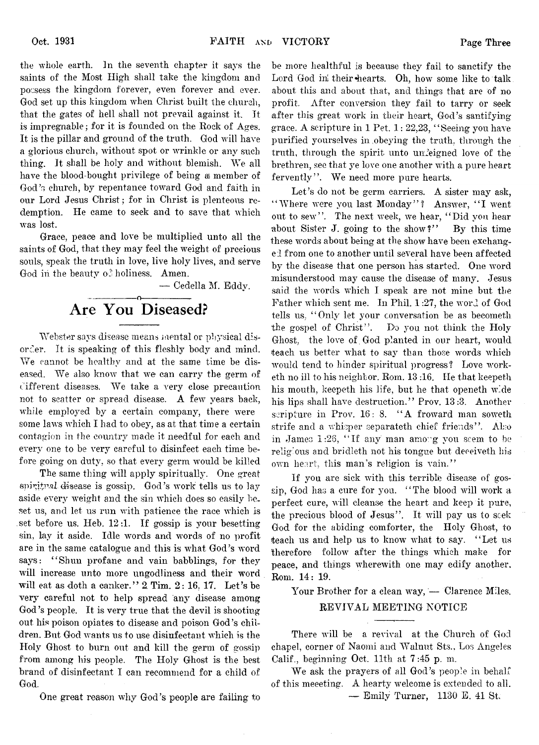the whole earth. In the seventh chapter it says the saints of the Most High shall take the kingdom and possess the kingdom forever, even forever and ever. God set up this kingdom when Christ built the church, that the gates of hell shall not prevail against it. It is impregnable; for it is founded on the Rock of Ages. It is the pillar and ground of the truth. God will have a glorious church, without spot or wrinkle or any such thing. It shall be holy and without blemish. We all have the blood-bought privilege of being ai member of God's church, by repentance toward God and faith in our Lord Jesus Christ ; for in Christ is plenteous redemption. He came to seek and to save that which was lost,

Grace, peace and love be multiplied unto all the saints of God, that they may feel the weight of precious souls, speak the truth in love, live holy lives, and serve God in the beauty  $\sigma^2$  holiness. Amen.

— Cedella M. Eddy.

#### ---------------- o----------------- **Are You Diseased?**

Webster says disease means mental or physical disorder. It is speaking of this fleshly body and mind. We cannot be healthy and at the same time be diseased. We also know that we can carry the germ of ^afferent diseases. We take a very close precaution not to scatter or spread disease. A few years back, while employed by a certain company, there were some laws which I had to obey, as at that time a certain contagion in the country made it needful for each and every one to be very careful to disinfect each time before going on duty, so that every germ would be killed

The same thing will apply spiritually. One great spiritual disease is gossip. God's work tells us to lay aside every weight and the sin which does so easily beset us, and let us run with patience the race which is set before us. Heb. 12 :1. If gossip is your besetting sin, lay it aside. Idle words and words of no profit are in the same catalogue and this is what God's word says: "Shun profane and vain babblings, for they will increase unto more ungodliness and their word will eat as doth a canker."  $2$  Tim.  $2: 16, 17$ . Let's be very careful not to help spread any disease among God's people. It is very true that the devil is shooting out his poison opiates to disease and poison God's children. But God wants us to use disinfectant which is the Holy Ghost to burn out and kill the germ of gossip from among his people. The Holy Ghost is the best brand of disinfectant I can recommend for a child of God.

One great reason why God's people are failing to

be more healthful is because they fail to sanctify the Lord God in their hearts. Oh, how some like to talk about this and about that, and things that are of no profit. After conversion they fail to tarry or seek after this great work in their heart, God's santifying grace. A scripture in 1 Pet, 1: 22,23, " Seeing you have purified yourselves in .obeying the truth, through the truth, through the spirit unto unfeigned love of the brethren, see that ye love one another with a pure heart fervently". We need more pure hearts.

Let's do not be germ carriers. A sister may ask, " Where were you last Monday"? Answer, "I went out to sew". The next week, we hear, "Did you hear about Sister J. going to the show?" By this time these words about being at the show have been exchanged from one to another until several have been affected by the disease that one person has started. One word misunderstood may cause the disease of many. Jesus said the words which I speak are not mine but the Father which sent me. In Phil. 1 :27, the word of God tells us, " Only let your conversation be as becometli the gospel of Christ". Do you not think the Holy Ghost, the love of God planted in our heart, would teach us better what to say than those words which would tend to hinder spiritual progress? Love worketh no ill to his neighbor. Rom. 13 :16. He that keepeth his mouth, keepeth his life, but he that openeth wide his lips shall have destruction." Prov. 13:3. Another scripture in Prov.  $16: 8$ . "A froward man soweth strife and a whisper separateth chief friends". Also in James 1:26, "If any man among you seem to be religious and bridleth not his tongue but deceiveth his own heart, this man's religion is vain."

If you are sick with this terrible disease of gossip, God has a cure for you. "The blood will work a perfect cure, will cleanse the heart and keep it pure, the precious blood of Jesus". It will pay us to seek God for the abiding comforter, the Holy Ghost, to teach us and help us to know what to say. "Let us therefore follow after the things which make for peace, and things wherewith one may edify another. Rom. 14: 19.

Your Brother for a clean way, — Clarence Miles. REVIVAL MEETING NOTICE

There will be a revival at the Church of God chapel, corner of Naomi and Walnut Sts., Los Angeles Calif., beginning Oct. 11th at  $7:45$  p.m.

We ask the prayers of all God's people in behalf of this meeeting. A hearty welcome is extended to all. — Emily Turner, 1130 E. 41 St.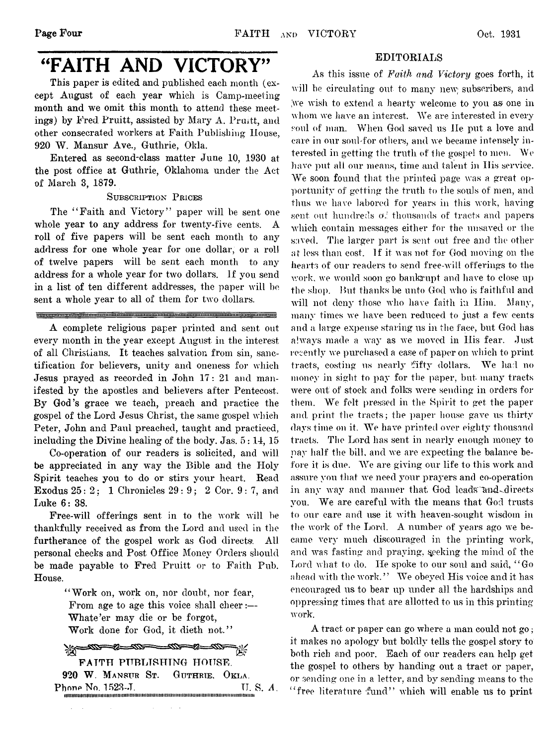tamaman manara manara manar

mprimorno

# "FAITH AND VICTORY"

This paper is edited and published each month (except August of each year which is Camp-meeting month and we omit this month to attend these meetings) by Fred Pruitt, assisted by Mary A. Pruitt, and other consecrated workers at Faith Publishing House, 920 W. Mansur Ave., Guthrie, Okla.

Entered as second-class matter June 10, 1930 at the post office at Guthrie, Oklahoma under the Act of March 3, 1879.

Subscription Prices

The "Faith and Victory" paper will be sent one whole year to any address for twenty-five cents. A roll of five papers will be sent each month to any address for one whole year for one dollar, or a roll of twelve papers will be sent each month to any address for a whole year for two dollars. If you send in a list of ten different addresses, the paper will be sent a whole year to all of them for two dollars.

A complete religious paper printed and sent out every month in the year except August in the interest of all Christians. It teaches salvation from sin, sanctification for believers, unity and oneness for which Jesus prayed as recorded in John 17: 21 and manifested by the apostles and believers after Pentecost. By God's grace we teach, preach and practice the gospel of the Lord Jesus Christ, the same gospel which Peter, John and Paul preached, taught and practiced,

including the Divine healing of the body. Jas. 5:14, 15 Co-operation of our readers is solicited, and will be appreciated in any way the Bible and the Holy Spirit teaches you to do or stirs your heart. Read Exodus 25: 2; 1 Chronicles 29 : 9 ; 2 Cor. 9 : 7, and Luke 6: 38.

Free-will offerings sent in to the work will be thankfully received as from the Lord and used in the furtherance of the gospel work as God directs. All personal checks and Post Office Money Orders should be made payable to Fred Pruitt or to Faith Pub. House.

> "Work on, work on, nor doubt, nor fear, From age to age this voice shall cheer:— Whate'er may die or be forgot, Work done for God, it dieth not."

<u>-000 - 20 - 000 - 000 - 200 - 000 - </u> FAITH PUBLISHING HOUSE. 920 W. Mansur St. Guthrie, Okla. Phone No. 1523-J. **TI. S. A.** iHTWimimmiiimiitiiiiiiiiimiimiiiiiiiiimiiimiimiiiiiiiiiimiiimiiiimmimiiiiiiimiimmiiiiiii

#### EDITORIALS

As this issue of *Faith and Victory* goes forth, it will be circulating out to many new subscribers, and we wish to extend a hearty welcome to you as one in whom we have an interest. We are interested in every soul of man. When God saved us He put a love and care in our soul-for others, and we became intensely interested in getting the truth of the gospel to men. We have put all our means, time and talent in His service. We soon found that the printed page was a great opportunity of getting the truth to the souls of men, and thus we have labored for years in this work, having sent out hundreds of thousands of tracts and papers which contain messages either for the unsaved or the saved. The larger part is sent out free and the other at less than cost. If it was not for God moving on the hearts of our readers to send free-will offerings to the work, we would soon go bankrupt and have to close up the shop. But thanks be unto God who is faithful and will not deny those who have faith in Him. Many, many times we have been reduced to just a few cents and a large expense staring us in the face, but God has always made a way as we moved in His fear. Just recently we purchased a case of paper on which to print tracts, costing us nearly fifty dollars. We had no money in sight to pay for the paper, but many tracts were out of stock and folks were sending in orders for them. We felt pressed in the Spirit to get the paper and print the tracts; the paper house gave us thirty days time on it. We have printed over eighty thousand tracts. The Lord has sent in nearly enough money to nay half the bill, and we are expecting the balance before it is due. We are giving our life to this work and assure you that we need your prayers and co-operation in any way and manner that God leads and directs you. We are careful with the means that God trusts to our care and use it with heaven-sought wisdom in the work of the Lord. A number of years ago we became very much discouraged in the printing work, and was fasting and praying, seeking the mind of the Lord what to do. He spoke to our soul and said, " Go ahead with the work." We obeyed His voice and it has encouraged us to bear up under all the hardships and oppressing times that are allotted to us in this printing work.

A tract or paper can go where a man could not go; it makes no apology but boldly tells the gospel story to both rich and poor. Each of our readers can help get the gospel to others by handing out a tract or paper, or sending one in a letter, and by sending means to the " free literature fund" which will enable us to print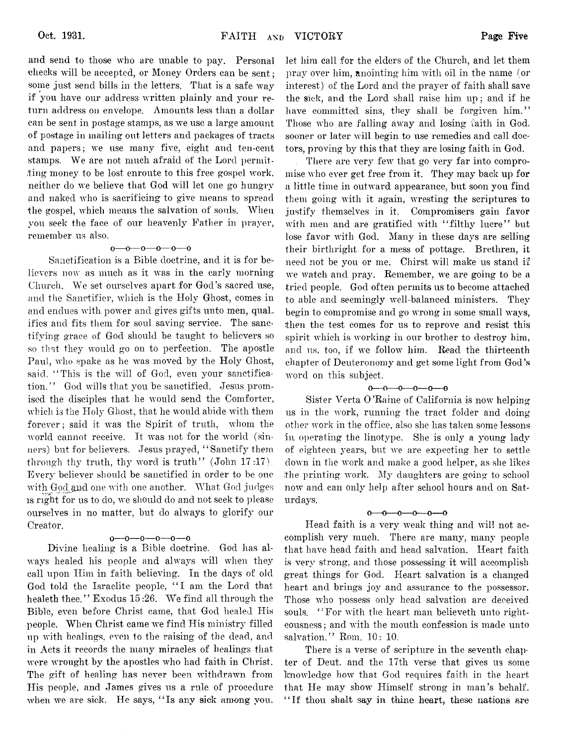and send to those who are unable to pay. Personal cheeks will be accepted, or Money Orders can he sent; some just send bills in the letters. That is a safe way if you have our address written plainly and your return address on envelope. Amounts less than a dollar can be sent in postage stamps, as we use a large amount of postage in mailing out letters and packages of tracts and papers; we use many five, eight and ten-cent stamps. We are not much afraid of the Lord permitting money to be lost enroute to this free gospel work, neither do we believe that God will let one go hungry and naked who is sacrificing to give means to spread the gospel, which means the salvation of souls. When you seek the face of our heavenly Father in prayer, remember us also.

#### o— o— o— o— o— o

Sanctification is a Bible doctrine, and it is for believers now as much as it was in the early morning Church. We set ourselves apart for God's sacred use, and the Sanctifier, which is the Holy Ghost, comes in and endues with power and gives gifts unto men, qualifies and fits them for soul saving service. The sanetifying grace of God should be taught to believers so so that they would go on to perfection. The apostle Paul, who spake as he was moved by the Holy Ghost, said, "This is the will of God, even your sanctification." God wills that you be sanctified. Jesus promised the disciples that he would send the Comforter, which is the Holy Ghost, that he would abide with them forever; said it was the Spirit of truth, whom the world cannot receive. It was not for the world (sinners) but for believers. Jesus prayed, " Sanctify them through thy truth, thy word is truth'' (John  $17:17$ ). Every believer should be sanctified in order to be one with God and one with one another. What God judges is right for us to do, we should do and not seek to please ourselves in no matter, but do always to glorify our Creator.

#### $0 - 0 - 0 - 0 - 0$

Divine healing is a Bible doctrine. God has always healed his people and always will when they call upon Him in faith believing. In the days of old God told the Israelite people, "I am the Lord that healeth thee." Exodus 15 :26. We find all through the Bible, even before Christ came, that God healed His people. When Christ came we find His ministry filled up with healings, even to the raising of the dead, and in Acts it records the many miracles of healings that were wrought by the apostles who had faith in Christ. The gift of healing has never been withdrawn from His people, and James gives us a rule of procedure when we are sick. He says, "Is any sick among you. let him call for the elders of the Church, and let them pray over him, anointing him with oil in the name (or interest) of the Lord and the prayer of faith shall save the sick, and the Lord shall raise him up; and if he have committed sins, they shall be forgiven him." Those who are falling away and losing faith in God, sooner or later will begin to use remedies and call doctors, proving by this that they are losing faith in God.

There are very few that go very far into compromise who ever get free from it. They may back up for a little time in outward appearance, but soon you find them going with it again, wresting the scriptures to justify themselves in it. Compromisers gain favor with men and are gratified with "filthy lucre" but lose favor with God. Many in these days are selling their birthright for a mess of pottage. Brethren, it need not be you or me. Chirst will make us stand if we watch and pray. Remember, we are going to be a tried people. God often permits us to become attached to able and seemingly well-balanced ministers. They begin to compromise and go wrong in some small wavs, then the test comes for us to reprove and resist this spirit which is working in our brother to destroy him, and us, too, if we follow him. Read the thirteenth chapter of Deuteronomy and get some light from God's word on this subject.

#### $0-0-0-0-0-0$

Sister Verta 0 'Raine of California is now helping us in the work, running the tract folder and doing other work in the office, also she has taken some lessons in, operating the linotype. She is only a young lady of eighteen years, but we are expecting her to settle down in the work and make a good helper, as she likes the printing work. My daughters are going to school now and can only help after school hours and on Saturdays.

#### $0 - 0 - 0 - 0 - 0 - 0$

Head faith is a very weak thing and will not accomplish very much. There are many, many people that have head faith and head salvation. Heart faith is very strong, and those possessing it will accomplish great things for God. Heart salvation is a changed heart and brings joy and assurance to the possessor. Those who possess only head salvation are deceived souls. "For with the heart man believeth unto righteousness ; and with the mouth confession is made unto salvation." Rom. 10: 10.

There is a verse of scripture in the seventh chap' ter of Deut. and the 17th verse that gives us some knowledge how that God requires faith in the heart that He may show Himself strong in man's behalf. " If thou shalt say in thine heart, these nations are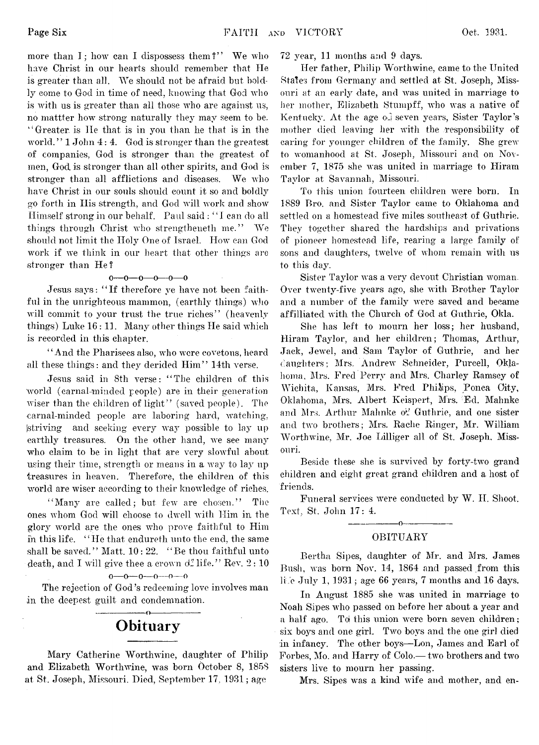more than I; how can I dispossess them?" We who have Christ in our hearts should remember that He is greater than all. We should not be afraid but boldly come to God in time of need, knowing that God who is with us is greater than all those who are against us, no mattter how strong naturally they may seem to be. " Greater, is He that is in you than he that is in the world."  $1$  John  $4:4$ . God is stronger than the greatest of companies, God is stronger than the greatest of men, God is stronger than all other spirits, and God is stronger than all afflictions and diseases. We who have Christ in our souls should count it so and boldly go forth in Ilis strength, and God will work and show Himself strong in our behalf. Paul said : " I can do all things through Christ who strengtheneth me." We should not limit the Holy One of Israel. How can God work if we think in our heart that other things are stronger than He?

#### o—o— o— o— o— o

Jesus says: " If therefore ye have not been faithful in the unrighteous mammon, (earthly things) who will commit to your trust the true riches" (heavenly things) Luke 16 : 11. Many other things He said which is recorded in this chapter.

" And the Pharisees also, who were covetous, heard all these things: and they derided Him" 14th verse.

Jesus said in 8th verse: " The children of this world (carnal-minded people) are in their generation wiser than the children of light" (saved people). The carnal-minded people are laboring hard, watching, 'striving and seeking every way possible to lay up earthly treasures. On the other hand, we see many who claim to be in light that are very slowful about using their time, strength or means in a way to lay up treasures in heaven. Therefore, the children of this world are wiser according to their knowledge of riches.

"Many are called; but few are chosen." The ones whom God will choose to dwell with Him in the glory world are the ones who prove faithful to Him in this life. " He that endureth unto the end, the same shall be saved." Matt. 10: 22. "Be thou faithful unto death, and I will give thee a crown  $d^c$  life." Rev. 2:10

o—*o*—o— o— o—o

The rejection of God's redeeming love involves man in the deepest guilt and condemnation.

### ---------------- o----------------- **Obituary**

Mary Catherine Worthwine, daughter of Philip and Elizabeth Worthwine, was born October 8, 1858 at St. Joseph, Missouri. Died, September 17, 1931; age

72 year, 11 months and 9 days.

Her father, Philip Worthwine, came to the United Stales from Germany and settled at St. Joseph, Missouri at an early date, and was united in marriage to her mother, Elizabeth Stumpff, who was a native of Kentucky. At the age oj seven years, Sister Taylor's mother died leaving her with the responsibility of caring for younger children of the family. She grew to womanhood at St. Joseph, Missouri and on November 7, 1875 she was united in marriage to Hiram Taylor at Savannah, Missouri.

To this union fourteen children were born. In 1889 Bro. and Sister Taylor came to Oklahoma and settled on a homestead five miles southeast of Guthrie. They together shared the hardships and privations of pioneer homestead life, rearing a large family of sons and daughters, twelve of whom remain with us to this day.

Sister Taylor was a very devout Christian woman. Over twenty-five years ago, she with Brother Taylor and a number of the family were saved and became affilliated with the Church of God at Guthrie, Okla.

She has left to mourn her loss; her husband, Hiram Taylor, and her children; Thomas, Arthur, Jack, Jewel, and Sam Taylor of Guthrie, and her daughters; Mrs. Andrew Schneider, Purcell, Oklahoma, Mrs. Fred Perry and Mrs. Charley Ramsey of Wichita, Kansas, Mrs. Fred Philips, Ponca City, Oklahoma, Mrs. Albert Keispert, Mrs. Ed. Mahnke and Mrs. Arthur Mahnke of Guthrie, and one sister and two brothers; Mrs. Rache Ringer, Mr. William Worthwine, Mr. Joe Lilliger all of St. Joseph. Missouri.

Beside these she is survived by forty-two grand children and eight great grand children and a host of friends.

Funeral services were conducted by W. II. Shoot. Text, St. John 17: 4.

#### ---------------- o----------------- OBITUARY

Bertha Sipes, daughter of Mr. and Mrs. James Bush, was born Nov. 14, 1864 and passed from this life July 1, 1931; age 66 years, 7 months and 16 days.

In August 1885 she was united in marriage to Noah Sipes who passed on before her about a year and a half ago. Toi this union were born seven children; six boys and one girl. Two boys and the one girl died in infancy. The other boys— Lon, James and Earl of Forbes, Mo. and Harry of Colo.— two brothers and two sisters live to mourn her passing.

Mrs. Sipes was a kind wife and mother, and en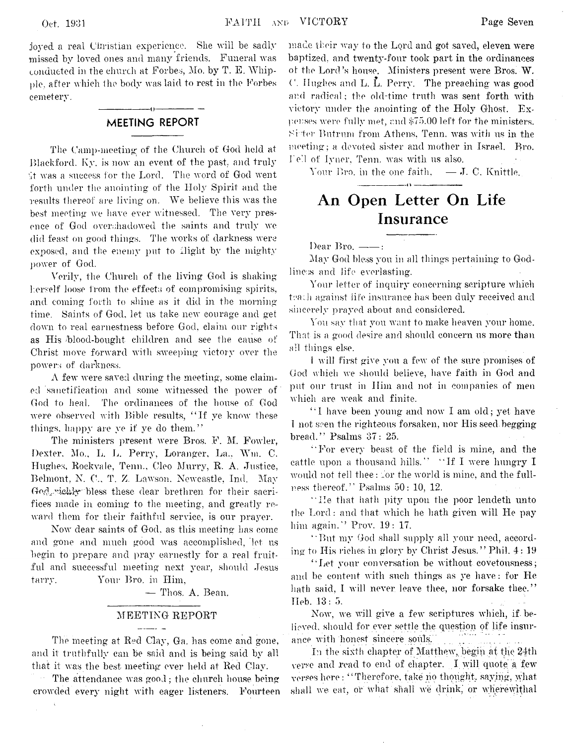joyed a real Christian experience. She will be sadly missed by loved ones and many friends. Funeral was conducted in the church at Forbes, Mo. by T. E. Whipple, after which the body was laid to rest in the Forbes cemetery.

#### ---------------- o---------------- **MEETING REPORT**

The Camp-meeting; of the Church of God held at Blackford. Ky. is now an event of the past, and truly •it was a success for the Lord. The word of God went forth under the anointing of the Holy Spirit and the results thereof are living on. We believe this was the best meeting we have ever witnessed. The very presence of God overshadowed the saints and truly we did feast on good things. The works of darkness were exposed, and the enemy put to flight by the mighty power of God.

Verily, the Church of the living God is shaking herself loose from the effects of compromising spirits, and coming forth to shine as it did in the morning time. Saints of God, let us take new courage and get down to real earnestness before God, claim our rights as His /blood-bought children and see the cause of Christ move forward with sweeping victory over the powers of darkness.

A few were saved during the meeting, some claimed sanctification and some witnessed the power of God to heal. The ordinances of the house of God were observed with Bible results, " If ye know these things, happy are ye if ye do them."

The ministers present were Bros. F. M. Fowler, Dexter. Mo., L. L. Perry, Loranger, La.. Win. C. Hughes, Roekvaie, Tenn., Cleo Murry, R. A. Justice, Belmont, N. C., T. Z Lawson. Newcastle, Ind. May God, richly bless these dear brethren for their sacrifices made in coming to the meeting, and greatly reward them for their faithful service, is our prayer.

Now dear saints of God, as this meeting has come and gone and much good was accomplished, let us begin to prepare and pray earnestly for a real fruitful and successful meeting next year, should Jesus tarry. Your Bro. in Him,

— Thos. A. Bean.

#### MEETING REPORT

The meeting at Red Clay, Ga. has come and gone, and it truthfully can be said and is being said by all that it was the best meeting ever held at Red Clay.

The attendance was good; the church house being crowded every night with eager listeners. Fourteen

made their way to the Lord and got saved, eleven were baptized, and twenty-four took part in the ordinances of the Lord's house. Ministers present were Bros. W. C. Hughes and L. L. Perry. The preaching was good and radical; the old-time truth was sent forth with victory under the anointing of the Holy Ghost. Expenses were fully met, and \$75.00 left for the ministers. Sister Butrum from Athens, Tenn. was with us in the meeting; a devoted sister and mother in Israel. Bro. Ted of lyner, Tenn. was with us also.

Your Bro. in the one faith,  $\quad - J$ . C. Knittle.

- - - - - - - - - - - - - - - - - - - - - - - - - - - - - - - «■ V - - - - - - - - - - - - - - - - - - - - - - - - - - —

## **An Open Letter On Life Insurance**

Dear Bro.  $-\!\!-\!\!-$ :

May God bless you in all things pertaining to Godliness and life everlasting.

Your letter of inquiry concerning scripture which teach against life insurance has been duly received and sincerely prayed about and considered.

You say that you want to make heaven your home. That is a good desire and should concern us more than all things else.

1 will first give you a few of the sure promises of God which we should believe, have faith in God and put our trust in Him and not in companies of men which are weak and finite.

" I have been young and now I am old; yet have I not seen the righteous forsaken, nor His seed begging bread." Psalms 37: 25.

" For every beast of the field is mine, and the cattle upon a thousand hills." " If I were hungry I would not tell thee: for the world is mine, and the fullness thereof." Psalms 50: 10, 12.

" lie that hath pity upon the poor lendeth unto the Lord: and that which he hath given will He pay him again." Prov. 19: 17.

" But my God shall supply all your need, according to His riches in glory by Christ Jesus." Phil. 4: 19

"Let your conversation be without covetousness; and be content with such things as ye have: for He hath said, I will never leave thee, nor forsake thee." Heb. 13:5.

Now, we will give a few scriptures which, if believed, should for ever settle the question of life insurance with honest sincere souls.

In the sixth chapter of Matthew, begin at the 24th verse and read to end of chapter. I will quote a few verses here: "Therefore, take no thought, saying, what shall we eat, or what shall we drink, or wherewithal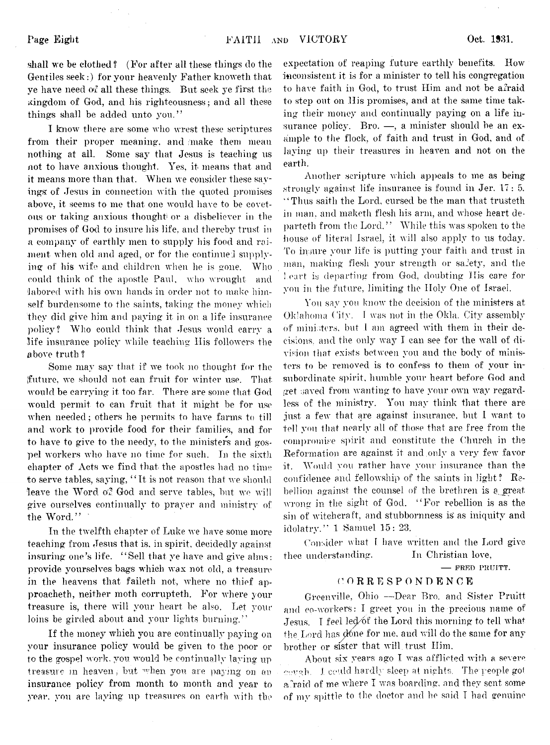shall we be clothed ? (For after all these things do the Gentiles seek:) for your heavenly Father knoweth that ye have need of all these things. But seek ye first the kingdom of God, and his righteousness; and all these things shall be added unto you."

I know there are some who wrest these scriptures from their proper meaning, and make them mean nothing at all. Some say that Jesus is teaching us not to have anxious thought. Yes, it means that and it means more than that. When we consider these sayings: of Jesus in connection with the quoted promises above, it seems to me that one would have to be covetous or taking anxious thought or a disbeliever in the promises of God to insure his life, and thereby trust in a company of earthly men to supply his food and raiment when old and aged, or for the continued supplying of his wife and children when he is gone. Who could think of the apostle Paul, who wrought and labored with his own hands in order not to make himself burdensome to the saints, taking the money which they did give him and paying it in on a life insurance policy? Who could think that Jesus would carry a life insurance policy while teaching His followers the above truth ?

Some may say that if we took no thought for the {future, we should not can fruit for winter use. That would be carrying it too far. There are some that God would permit to can fruit that it might be for use when needed; others he permits to have farms to till and work to provide food for their families, and for to have to give to the needy, to the ministers and gospel workers who have no time for such. In the sixth chapter of Acts we find that the apostles had no time to serve tables, saying, " It is not reason that we should leave the Word of God and serve tables, but we will give ourselves continually to prayer and ministry of the Word."

In the twelfth chapter of Luke we have some more teaching from Jesus that is, in spirit, decidedly against insuring one's life. "Sell that ye have and give alms: provide yourselves bags which wax not old, a treasure in the heavens that faileth not, where no thief approacheth, neither moth corrupteth. For where your treasure is, there will your heart be also. Let your loins be girded about and your lights burning."

If the money which you are continually paying on your insurance policy would be given to the poor or to the gospel work, you would be continually laying up treasure in heaven, but when you are paying on an insurance policy from month to month and year to year, you are laying up treasures on earth with the

expectation of reaping future earthly benefits. How inconsistent it is for a minister to tell his congregation to have faith in God, to trust Him and not be afraid to step out on His promises, and at the same time taking their money and continually paying on a life insurance policy. Bro. -, a minister should be an example to the flock, of faith and trust in God, and of laying up their treasures in heaven and not on the earth.

Another scripture which appeals to me as being strongly against life insurance is found in Jer. 17 : 5. "Thus saith the Lord, cursed be the man that trusteth in man, and maketh flesh his arm, and whose heart departeth from the Lord." While this was spoken to the house of literal Israel, it will also apply to us today. To insure your life is putting your faith and trust in man, making flesh your strength or safety, and the I eart is departing from God, doubting His care for you in the future, limiting the Holy One of Israel.

You say you know the decision of the ministers at Oklahoma City. I was not in the Okla. City assembly of mini:;ters, but 1 am agreed with them in their decisions, and the only way I can see for the wall of division that exists between you and the body of ministers to be removed is to confess to them of your insubordinate spirit, humble your heart before God and get saved from wanting to have your own way regardless of the ministry. You may think that there are just a few that are against insurance, but I want to tell you that nearly all of those that are free from the compromise spirit and constitute the Church in the Reformation are against it and only a very few favor it. Would you rather have your insurance than the confidence and fellowship of the saints in light? Rebellion against the counsel of the brethren is a great wrong in the sight of God. " For rebellion is as the sin of witchcraft, and stubbornness is as iniquity and idolatry." 1 Samuel 15: 23.

Consider what 1 have written and the Lord give thee understanding. In Christian love,

**— FRED PRUITT.**

#### **( l O R R E S P O NT) E N C E**

Greenville, Ohio — Dear Bro. and Sister Pruitt and co-workers: I greet you in the precious name of Jesus. I feel led of the Lord this morning to tell what the Lord has  $\phi$  for me, and will do the same for any brother or sister that will trust Him.

About six years ago I was afflicted with a severe wwah. I could hardly sleep at nights, The people got afraid of me where I was boarding, and they sent some of my spittle to the doctor and he said I had genuine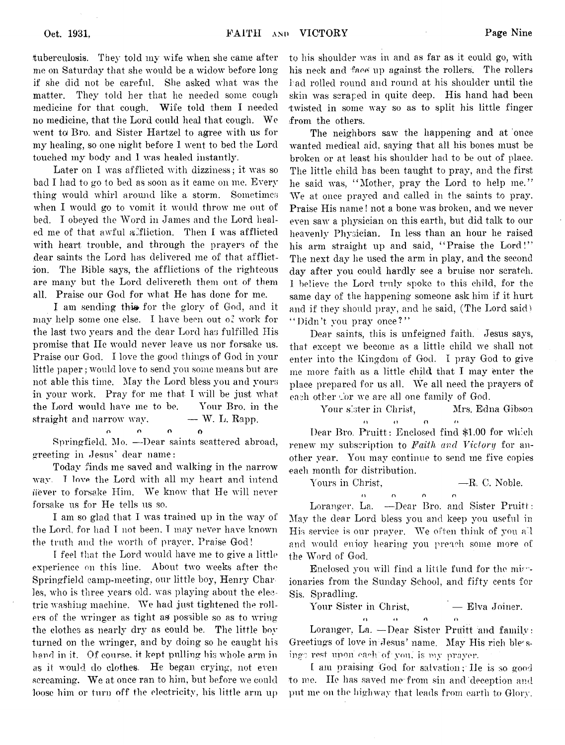tuberculosis. They told my wife when she came after me on Saturday that she would be a widow before long if she did not be careful. She asked what was the matter. They told her that he needed some cough medicine for that cough. Wife told them I needed no medicine, that the Lord could heal that cough. We went *ta* Bro. and Sister Hartzel to agree with us for my healing, so one night before I went to bed the Lord touched my body and 1 was healed instantly.

Later on I was afflicted with dizziness; it was so bad I had to go to bed as soon as it came on me. Every thing would whirl around like a storm. Sometimes when I would go to vomit it would throw me out of bed. I obeyed the Word in James and the Lord healed me of that awful alfliction. Then I was afflicted with heart trouble, and through the prayers of the dear saints the Lord has delivered me of that affliction. The Bible says, the afflictions of the righteous are many but the Lord delivereth them out of them all. Praise our God for what He has done for me.

I am sending this for the glory of God, and it may help some one else. I have been out o: work for the last two years and the dear Lord has fulfilled His promise that He would never leave us nor forsake us. Praise our God. I love the good things of God in your little paper; would love to send von some means but are not able this time. May the Lord bless you and yours in your work. Pray for me that I will be just what the Lord would have me to be. Your Bro. in the straight and narrow way,  $- W$ . L. Rapp.

r. n o o Springfield, Mo. — Dear saints scattered abroad, greeting in Jesus' dear name:

Today finds me saved and walking in the narrow way. **T love** the Lord with all my heart and intend ifever to forsake Him. We know that He will never forsake us for He tells us so.

I am so glad that I was trained up in the way of the Lord, for had I not been, T may never have known the truth and the worth of prayer. Praise God!

T feel that the Lord would have me to give a little experience on this line. About two weeks after the Springfield camp-meeting, our little boy, Henry Charles, who is three years old. was playing about the electric washing machine. We had just tightened the rollers of the wringer as tight as possible so as to wring the clothes as nearly dry as could be. The little boy turned on the wringer, and by doing so he caught his hand in it. Of course, it kept pulling his whole arm in as it would do clothes. He began crying, not even screaming. We at once ran to him, but before we could loose him or turn off the electricity, his little arm up

to his shoulder was in and as far as it could go, with his neck and face up against the rollers. The rollers had rolled round and round at his shoulder until the skin was scraped in quite deep. His hand had been twisted in some way so as to split his little finger from the others.

The neighbors saw the happening and at once wanted medical aid, saying that all his bones must be broken or at least his shoulder had to be out of place. The little child has been taught to pray, and the first he said was, "Mother, pray the Lord to help me." We at once prayed and called in the saints to pray. Praise His name! not a bone was broken, and we never even saw a physician on this earth, but did talk to our heavenly Physician. In less than an hour he raised his arm straight up and said, "Praise the Lord!" The next day he used the arm in play, and the second day after you could hardly see a bruise nor scratch. I believe the Lord truly spoke to this child, for the same day of the happening someone ask him if it hurt and if they should pray, and he said, (The Lord said ) "Didn't you pray once?"

Dear saints, this is unfeigned faith. Jesus says, that except we become as a little child we shall not enter into the Kingdom of God. I pray God to give me more faith as a little child that I may enter the place prepared for us all. We all need the prayers of each other c'or we are all one family of God.

Your sister in Christ, Mrs. Edna Gibson  $\alpha$  o  $\alpha$  o  $\alpha$  $\mathbf{r}$ 

Dear Bro. Pruitt : Enclosed find \$1.00 for which renew my subscription to *Faith and Victory* for another year. You may continue to send me five copies each month for distribution.

Yours in Christ,  $-$ R. C. Noble.

n *n* n n Loranger, La. — Dear Bro. and Sister Pruitt: May the dear Lord bless you and keep you useful in His service is our prayer. We often think of you ail and would enioy hearing you preach some more of the Word of God.

Enclosed you will find a little fund for the mirionaries from the Sunday School, and fifty cents for Sis. Spradling.

Your Sister in Christ,  $\qquad \qquad$  Elva Joiner.

n n o n Loranger, La. - Dear Sister Pruitt and family: Greetings of love in Jesus' name. May His rich blessings rest upon each of you, is ivy prayer.

[ am praising God for salvation; He is so- good to me. He has saved me from sin and'deception and put me on the highway that leads from earth to Glory.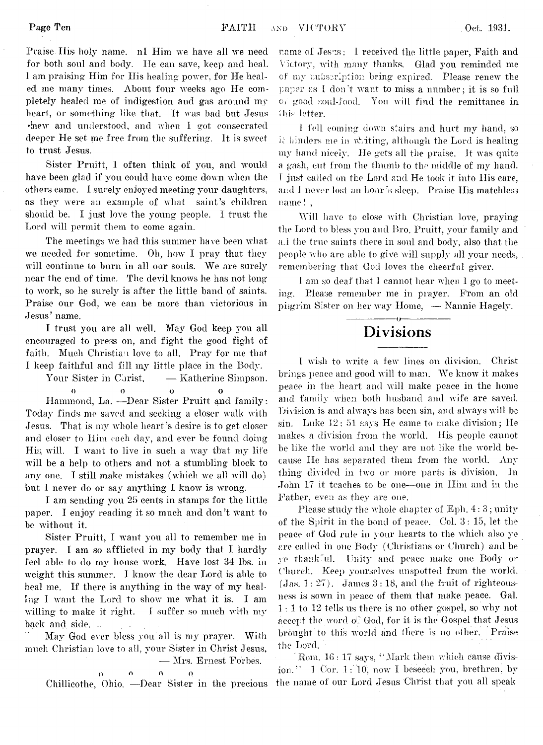Praise. His holy name, nl Him we have all we need for both soul and body. He can save, keep and heal. I am praising Him for His healing power, for He healed me many times. About four weeks ago He completely healed me of indigestion and gas around my heart, or something like that. It was bad but Jesus hnew and understood, and when I got consecrated deeper He set me free from the suffering. It is sweet to trust Jesus.

Sister Pruitt, 1 often think of you, and would have been glad if you could have come down when the others came. I surely enjoyed meeting your daughters, as they were an example of what saint's children should be. I just love the young people. I trust the Lord will permit them to come again.

The meetings we had this summer have been what we needed for sometime. Oh, how I pray that they will continue to burn in all our souls. We are surely near the end of time. The devil knows he has not long to work, so he surely is after the little band of saints. Praise our God, we can be more than victorious in Jesus' name.

I trust you are all well. May God keep you all encouraged to press on, and fight the good fight of faith. Much Christian love to all. Pray for me that I keep faithful and fill my little place in the Body.

Your Sister in Christ,  $-$  Katherine Simpson. O 0 o 0 Hammond, La. -- Dear Sister Pruitt and family:

Today finds me saved and seeking a closer walk with Jesus. That is my whole heart 's desire is to get closer and closer to Him each day, and ever be found doing Hiq will. I want to live in such a way that my life will be a help to others and not a stumbling block to any one. I still make mistakes (which we all will do) but I never do or say anything I know is wrong.

I am sending you 25 cents in stamps for the little paper. I enjoy reading it so much and don't want to be without it.

Sister Pruitt, I want you all to remember me in prayer. I am so afflicted in my body that I hardly feel able to do my house work. Have lost 34 lbs. in weight this summer. 1 know the dear Lord is able to heal me. If there is anything in the way of my healing I want the Lord to show me what it is. I am willing to make it right. I suffer so much with my back and side.

May God ever bless you all is my prayer. With much Christian love to all, your Sister in Christ Jesus, — Mrs. Ernest Forbes,

o o n o Chillicothe, Ohio. —Dear Sister in the precious

name of Jesns: I received the little paper. Faith and Victory, with many thanks, Glad you reminded me of my subscription being expired. Please renew the paper as I don't want to miss a number; it is so full Oi good soul-food. You will, find the remittance in fhis\* letter.

I fell coming down stairs and hurt my hand, so it hinders me in writing, although the Lord is healing my hand nicely. He gets all the praise. It was quite a gash, cut from the thumb to the middle of my hand. 1 just called on the Lord and He took it into His care, and I never lost an hour's sleep. Praise His matchless name! ,

Will have to close with Christian love, praying the Lord to bless you and Bro. Pruitt, your family and a.l the true saints there in soul and body, also that the people who are able to give will supply all your needs, remembering that God loves the cheerful giver.

I am so deaf that 1 cannot hear when 1 go to meeting. Please remember me in prayer. From an old pilgrim Sister on her way Home, — Nannie Hagely.

#### ---------------- o----------------- **Divisions**

I wish to write a few lines on division. Christ brings peace and good will to man. We know it makes peace in the heart and will make peace in the home and family when both husband and wife are saved. Division is and always has been sin, and always will be sin. Luke 12: 51 says He came to make division; He makes a division from the world. His people cannot be like the world and they are not like the world because IIe has separated them from the world. Any thing divided in two or more parts is division. In John 17 it teaches to be one— one in Him and in the Father, even as they are one.

Please study the whole chapter of Eph. 4:3; unity of the Spirit in the bond of peace. Col. 3 : 15, let the peace of God rule in your hearts to the which also ye are called in one Body (Christians or Church) and be ye thankful. Unity and peace make one Body or Church. Keep yourselves unspotted from the world.  $(Jas. 1: 27)$ . James  $3: 18$ , and the fruit of righteousness is sown in peace of them that make peace. Gal. 1 : 1 to 12 tells us there is no other gospel, so why not accept the word  $\alpha$ . God, for it is the Gospel that Jesus brought to this world and there is no other. Praise the Lord.

Rom. 16: 17 says, "Mark them which cause division.'' 1 Cor. 1: 10, now I beseech you, brethren, by the name of our Lord Jesus Christ that you all speak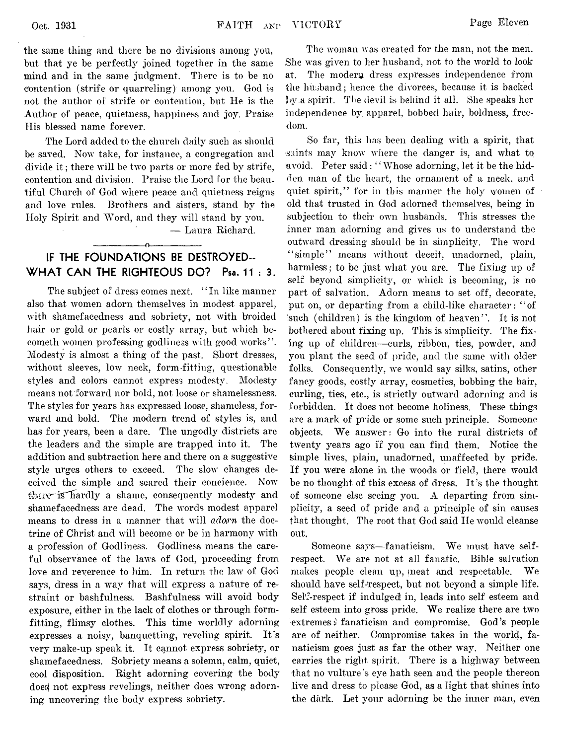The Lord added to the church daily such as should be saved. Now take, for instance, a congregation and divide it ; there will be two parts or more fed by strife, contention and division. Praise the Lord for the beautiful Church of God where peace and quietness reigns and love rules. Brothers and sisters, stand by the Holy Spirit and Word, and they will stand by you.

— Laura Richard.

#### **IF THE FOUNDATIONS BE DESTROYED-WHAT CAN THE RIGHTEOUS DO? Psa. 11:3.**

 $\overline{\phantom{a}}$  of  $\overline{\phantom{a}}$  or  $\overline{\phantom{a}}$  or  $\overline{\phantom{a}}$  or  $\overline{\phantom{a}}$  or  $\overline{\phantom{a}}$  or  $\overline{\phantom{a}}$  or  $\overline{\phantom{a}}$  or  $\overline{\phantom{a}}$  or  $\overline{\phantom{a}}$  or  $\overline{\phantom{a}}$  or  $\overline{\phantom{a}}$  or  $\overline{\phantom{a}}$  or  $\overline{\phantom{a}}$  or  $\overline{\phantom{a}}$ 

The subject of dress comes next. "In like manner also that women adorn themselves in modest apparel, with shamefacedness and sobriety, not with broided hair or gold or pearls or costly array, but which becometh women professing godliness with good works" . Modesty is almost a thing of the past. Short dresses, without sleeves, low neck, form-fitting, questionable styles and colors cannot express modesty. Modesty means not forward nor bold, not loose or shamelessness. The styles for years has expressed loose, shameless, forward and bold. The modern trend of styles is, and has for years, been a dare. The ungodly districts are the leaders and the simple are trapped into it. The addition and subtraction here and there on a suggestive style urges others to exceed. The slow changes deceived the simple and seared their concience. Now there is hardly a shame, consequently modesty and shamefacedness are dead. The words modest apparel means to dress in a manner that will *adorn* the doctrine of Christ and will become or be in harmony with a profession of Godliness. Godliness means the careful observance of the laws of God, proceeding from love and reverence to him. In return the law of God says, dress in a way that will express a nature of restraint or bashfulness. Bashfulness will avoid body exposure, either in the lack of clothes or through formfitting, flimsy clothes. This time worldly adorning expresses a noisy, banquetting, reveling spirit. It's very make-up speak it. It cannot express sobriety, or shamefacedness. Sobriety means a solemn, calm, quiet, cool disposition. Right adorning covering the body does not express revelings, neither does wrong adorning uncovering the body express sobriety.

The woman was created for the man, not the men. She was given to her husband, not to the world to look at. The modern dress expresses independence from the husband; hence the divorces, because it is backed by a spirit. The devil is behind it all. She speaks her independence by apparel, bobbed hair, boldness, freedom.

So far, this has been dealing with a spirit, that saints may know where the danger is, and what to lavoid. Peter said: " Whose adorning, let it be the hidden man of the heart, the ornament of a meek, and quiet spirit," for in this manner the holy women of old that trusted in God adorned themselves, being in subjection to their own husbands. This stresses the inner man adorning and gives us to understand the outward dressing should be in simplicity. The word "simple" means without deceit, unadorned, plain, harmless; to be just what you are. The fixing up of self beyond simplicity, or which is becoming, is no part of salvation. Adorn means to set off, decorate, put on, or departing from a child-like character: " of 'such (children) is the kingdom of heaven" . It is not bothered about fixing up. This is simplicity. The fixing up of children— curls, ribbon, ties, powder, and you plant the seed of pride, and the same with older folks. Consequently, we would say silks, satins, other fancy goods, costly array, cosmetics, bobbing the hair, curling, ties, etc., is strictly outward adorning and is forbidden. It does not become holiness. These things are a mark of pride or some such principle. Someone objects. We answer: Go into the rural districts of twenty years ago if you can find them. Notice the Simple lives, plain, unadorned, unaffected by pride. If you were alone in the woods or field, there would be no thought of this excess of dress. It's the thought of someone else seeing you. A departing from simplicity, a seed of pride and a principle of sin causes that thought. The root that God said lie would cleanse out.

Someone says—fanaticism. We must have selfrespect. We are not at all fanatic. Bible salvation makes people clean up, meat and respectable. We should have self-respect, but not beyond a simple life. Self-respect if indulged in, leads into self esteem and self esteem into gross pride. We realize there are two extremes:) fanaticism and compromise. God's people are of neither. Compromise takes in the world, fanaticism goes just as far the other way. Neither one carries the right spirit. There is a highway between that no vulture's eye hath seen and the people thereon live and dress to please God, as a light that shines into the dark. Let your adorning be the inner man, even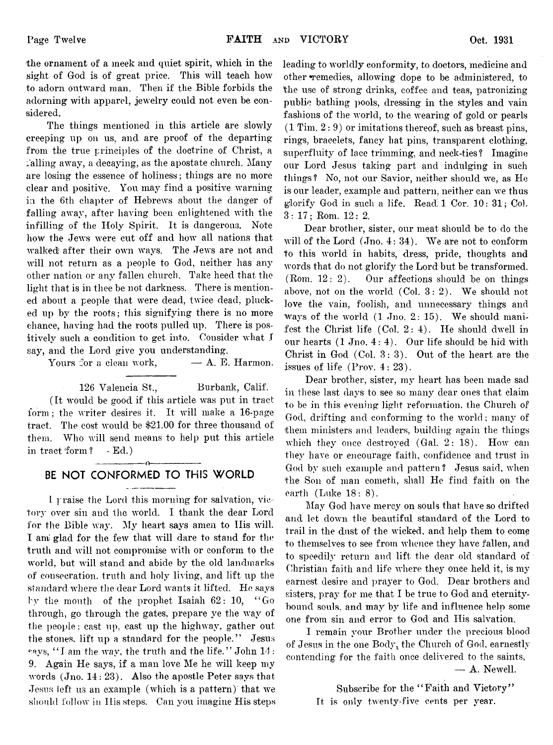the ornament of a meek and quiet spirit, which in the sight of God is of great price. This will teach how to adorn outward man. Then if the Bible forbids the adorning with apparel, jewelry could not even be considered.

The things mentioned in this article are slowly creeping up on us, and are proof of the departing from the true principles of the doctrine of Christ, a falling away, a decaying, as the apostate church. Many are losing the essence of holiness; things are no more clear and positive. You may find a positive warning in the 6th chapter of Hebrews about the danger of falling away, after having been enlightened with the infilling of the Holy Spirit. It is dangerous. Note how the Jews were cut off and how all nations that walked after their own ways. The Jews are not and will not return as a people to God, neither has any other nation or any fallen church. Take heed that the light that is in thee be not darkness. There is mentioned about a people that were dead, twice dead, plucked up by the roots; this signifying there is no more chance, having had the roots pulled up. There is positively such a condition to get into. Consider what I say, and the Lord give you understanding.

Yours for a clean work,  $- A$ . E. Harmon.

126 Valencia St., Burbank, Calif. (It would be good if this article was put in tract form ; the writer desires it. It will make a 16-page tract. The cost would be \$21.00 for three thousand of them. Who will send means to help put this article in tract form ? - Ed.)

#### ---------------- o----------------- **BE NOT CONFORMED TO THIS WORLD**

1 *y* raise the Lord this morning for salvation, victory over sin and the world. I thank the dear Lord for the Bible way. My heart says amen to His will. I ami glad for the few that will dare to stand for the truth and will not compromise with or conform to the world, but will stand and abide by the old landmarks of consecration, truth and holy living, and lift up the standard where the dear Lord wants it lifted. He says bv the mouth of the prophet Isaiah 62: 10, " Go through, go through the gates, prepare ye the way of the people: cast up, cast up the highway, gather out the stones, lift up a standard for the people." Jesus says, "I am the way, the truth and the life." John 14: 9. Again He says, if a man love Me he will keep my words (Jno. 14: 23). Also the apostle Peter says that Jesus left us an example (which is a pattern) that we should follow in His steps. Can you imagine His steps

leading to worldly conformity, to doctors, medicine and other ^remedies, allowing dope to be administered, to the use of strong drinks, coffee and teas, patronizing public bathing pools, dressing in the styles and vain fashions of the world, to the wearing of gold or pearls  $(1 \text{ Tim}, 2:9)$  or imitations thereof, such as breast pins, rings, bracelets, fancy hat pins, transparent clothing, superfluity of lace trimming, and neck-ties? Imagine our Lord Jesus taking part and indulging in such things? No, not our Savior, neither should we, as He is our leader, example and pattern, neither can we thus glorify God in such a life. Read; 1 Cor. 10: 31; Col. 3:17; Rom. 12: 2.

Dear brother, sister, our meat should be to do the will of the Lord (Jno. 4: 34). We are not to conform to this world in habits, dress, pride, thoughts and words that do not glorify the Lord but be transformed. (Rom. 12: 2). Our affections should be on things above, not on the world (Col. 3:2). We should not love the vain, foolish, and unnecessary things and ways of the world  $(1 \text{ Jno. } 2: 15)$ . We should manifest the Christ life (Col. 2:4). He should dwell in our hearts  $(1 \text{ Jno. } 4:4)$ . Our life should be hid with Christ in God (Col. 3:3). Out of the heart are the issues of life (Prov. 4: 23).

Dear brother, sister, my heart has been made sad in these last days to see so many dear ones that claim to be in this evening light reformation, the Church of God, drifting and conforming to the world ; many of them ministers and leaders, building again the things which they once destroyed (Gal. 2: 18). How can they have or encourage faith, confidence and trust in God by such example and pattern? Jesus said, when the Son of man cometh, shall He find faith on the earth (Luke 18: 8).

May God have mercy on souls that have so drifted and let down the beautiful standard of the Lord to trail in the dust of the wicked, and help them to come to themselves to see from whence they have fallen, and to speedily return and lift the dear old standard of Christian faith and life where they once held it, is my earnest desire and prayer to God. Dear brothers and sisters, pray for me that I be true to God and eternitybound souls, and may by life and influence help some one from sin and error to God and His salvation.

I remain your Brother under the precious blood of Jesus in the one Body, the Church of God, earnestly contending for the faith once delivered to the saints, — A. Newell.

> Subscribe for the "Faith and Victory" It is only twenty-five cents per year.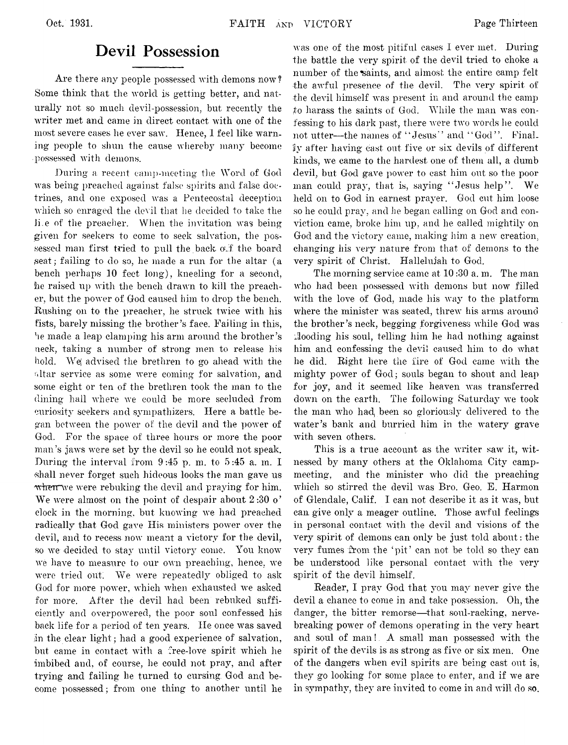## **Devil Possession**

Are there any people possessed with demons now? Some think that the world is getting better, and naturally not so much devil-possession, but recently the writer met and came in direct contact with one of the most severe cases he ever saw. Hence, I feel like warning people to shun the cause whereby many become possessed with demons.

During a recent camp-meeting the Word of God was being preached against false spirits and false doctrines, and one exposed was a Pentecostal deception which so enraged the devil that he decided to take the li.e of the preacher. When the invitation was being given for seekers to come to seek salvation, the possessed man first tried to pull the back off the board seat; failing to do so, he made a run for the altar (a bench perhaps 10 feet long), kneeling for a second, he raised up with the bench drawn to kill the preacher, but the power of God caused him to drop the bench. Rushing on to the preacher, he struck twice with his fists, barely missing the brother's face. Failing in this, vie made a leap clamping his arm around the brother's neck, taking a number of strong men to release his hold. We( advised the brethren to go ahead with the altar service as some were coming for salvation, and some eight or ten of the brethren took the man to the dining hall where we could be more secluded from curiosity seekers and sympathizers. Here a battle began between the power of the devil and the power of God. For the space of three hours or more the poor man's jaws were set by the devil so he could not speak. During the interval from 9 :45 p. m. to 5 :45 a. m. I shall never forget such hideous looks the man gave us when we were rebuking the devil and praying for him. We were almost on the point of despair about 2:30 o' clock in the morning, but knowing we had preached radically that God gave His ministers power over the devil, and to recess now meant a victory for the devil, so we decided to stay until victory come. You know we have to measure to our own preaching, hence, we were tried out, We were repeatedly obliged to ask God for more power, which when exhausted we asked for more. After the devil had been rebuked sufficiently and overpowered, the poor soul confessed his back life for a period of ten years. He once was saved in the clear light; had a good experience of salvation, but came in contact with a free-love spirit which he imbibed and, of course, he could not pray, and after trying and failing he turned to cursing. God and become possessed; from one thing to another until he

was one of the most pitiful cases I ever met. During the battle the very spirit of the devil tried to choke a number of the saints, and almost the entire camp felt the awful presence of the devil. The very spirit of the devil himself was present in and around the camp to harass the saints of God. While the man was confessing to his dark past, there were two words he could not utter—the names of "Jesus" and "God". Final. Iiy after having cast out five or six devils of different kinds, we came to the hardest one of them all, a dumb devil, but God gave power to cast him out so the poor man could pray, that is, saying "Jesus help". We held on to God in earnest prayer. God cut him loose so he could pray, and he began calling on God and conviction came, broke him up, and he called mightily on God and the victory came, making him a new creation, changing his very nature from that of demons to the very spirit of Christ. Hallelujah to God.

The morning service came at 10:30 a. m. The man who had been possessed with demons but now filled with the love of God, made his way to the platform where the minister was seated, threw his arms around the brother's neck, begging forgiveness while God was Hooding his soul, telling him lie had nothing against him and confessing the devil caused him to do what he did. Eight here the fire of God came with the mighty power of God; souls began to shout and leap for joy, and it seemed like heaven was transferred down on the earth. The following Saturday we took the man who had, been so gloriously delivered to the water's bank and burried him in the watery grave with seven others.

This is a true account as the writer saw it, witnessed by many others at the Oklahoma City campmeeting, and the minister who did the preaching which so stirred the devil was Bro. Geo. E. Harmon of Glendale, Calif. I can not describe it as it was, but can give only a meager outline. Those awful feelings in personal contact with the devil and visions of the very spirit of demons can only be just told about: the very fumes from the 'pit' can not be told so they can be understood like personal contact with the very spirit of the devil himself.

Reader, I pray God that you may never give the devil a chance to come in and take possession. Oh, the danger, the bitter remorse—that soul-racking, nervebreaking power of demons operating in the very heart and soul of man! A small man possessed with the spirit of the devils is as strong as five or six men. One of the dangers when evil spirits are being cast out is, they go looking for some place to enter, and if we are in sympathy, they are invited to come in and will do so.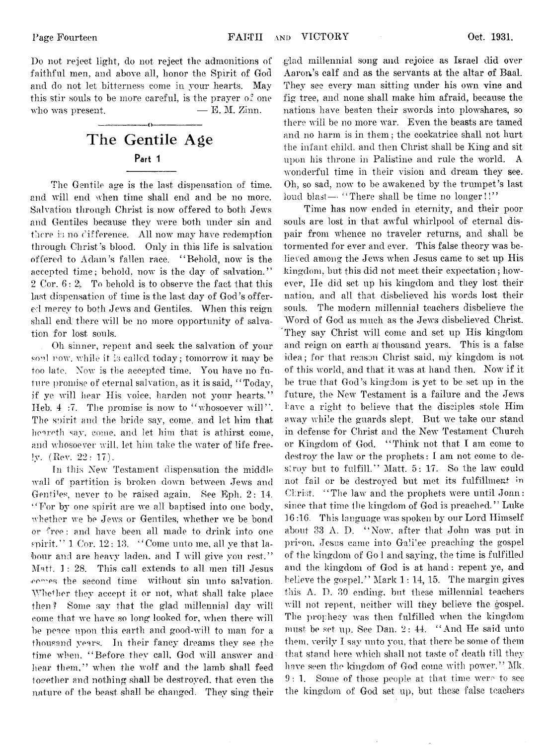Do not reject light, do not reject the admonitions of faithful men, and above all, honor the Spirit of God and do not let bitterness come in your hearts. May this stir souls to be more careful, is the prayer  $\alpha^2$  one who was present.  $- E. M. Zinn.$ 

# **The Gentile Age Part 1**

**---------------------- o-----------------------**

The Gentile age is the last dispensation of time, and will end when time shall end and be no more. Salvation through Christ is now offered to both Jews and Gentiles because they were both under sin and there is no difference. All now may have redemption through Christ's blood. Only in this life is salvation offered to Adam's fallen race. " Behold, now is the accepted time; behold, now is the day of salvation. ' ' 2 Cor.  $6:2$ . To behold is to observe the fact that this last dispensation of time is the last day of God's offered mercy to both Jews and Gentiles. When this reign shall end there will be no more opportunity of salvation for lost souls.

Oh sinner, repent and seek the salvation of your soul now, while it is called today; tomorrow it may be too late. Now is the accepted time. You have no future promise of eternal salvation, as it is said, " Today, if ye will hear His voice, harden not your hearts." Heb. 4 :7. The promise is now to "whosoever will". The spirit and the bride say, come, and let him that hoareth say, come, and let him that is athirst come, and whosoever will, let him take the water of life freely. (Rev. 22: 17).

In this New Testament dispensation the middle wall of partition is broken down between. Jews and Gentiles, never to be raised again. See Eph. 2: 14. " For by one spirit are we all baptised into one body, whether we be Jews or Gentiles, whether we be bond or free; and have been all made to drink into one spirit."  $1 \text{ Cor. } 12:13.$  "Come unto me, all ye that labour and are heavy laden, and I will give von rest." Matt.  $1: 28$ . This call extends to all men till Jesus comes the second time without sin unto salvation. Whether they accept it or not, what shall take place then ? Some say that the glad millennial day will come that we have so long\* looked for, when there will be peace upon this earth and good-will to man for a thousand years. In their fancy dreams they see the time when. " Before they call, God will answer and hear them," when the wolf and the lamb shall feed together and nothing shall be destroyed, that even the nature of the beast shall be changed. They sing their

glad millennial song and rejoice as Israel did over Aaron's calf and as the servants at the altar of Baal. They see every man sitting under his own vine and fig tree, and none shall make him afraid, because the nations have beaten their swords into plowshares, so there will be no more war. Even the beasts are tamed and no harm is in them; the cockatrice shall not hurt the infant child, and then Christ shall be King and sit upon his throne in Palistine and rule the world. A wonderful time in their vision and dream they see. Oh, so sad, now to be awakened by the trumpet's last loud blast— "There shall be time no longer!!"

Time has now ended in eternity, and their poor souls are lost in that awful whirlpool of eternal dispair from whence no traveler returns, and shall be tormented for ever and ever. This false theory was believed among the Jews when Jesus came to set up His kingdom, but this did not meet their expectation; however, He did set up his kingdom and they lost their nation, and all that disbelieved his words lost their souls. The modern millennial teachers disbelieve the Word of God as much as the Jews disbelieved Christ. They say Christ will come and set up His kingdom and reign on earth ai thousand years. This is a false idea; for that reason Christ said, my kingdom is not of this world, and that it was at hand then. Now if it be true that God's kingdom is yet to be set up in the future, the New Testament is a failure and the Jews have a right to believe that the disciples stole Him away while the guards slept, But we take our stand in defense for Christ and the New Testament Church or Kingdom of God. " Think not that I am come to destroy the law or the prophets: I am not come to destroy but to fulfill." Matt. 5: 17. So the law could not fail or be destroyed but met its fulfillment in Christ. "The law and the prophets were until Jonn: since that time the kingdom of God is preached. " Luke 16 :16. This language was spoken by our Lord Himself about 33 A. I). " Now, after that John was put in prison, Jesus came into Galilee preaching the gospel of the kingdom of Go 1 and saying, the time is fulfilled and the kingdom of God is at hand: repent ye, and believe the gospel." Mark  $1:14, 15$ . The margin gives this A, D. 30 ending, but these millennial teachers will not repent, neither will they believe the gospel. The prophecy was then fulfilled when the kingdom must be set up. See Dan. 2: 44. " And He said unto them, verily I say unto you, that there be some of them that stand bore which shall not taste of death till they have seen the kingdom of God come with power." Mk. 9:1. Some of those people at that time were to see the kingdom of God set up, but these false teachers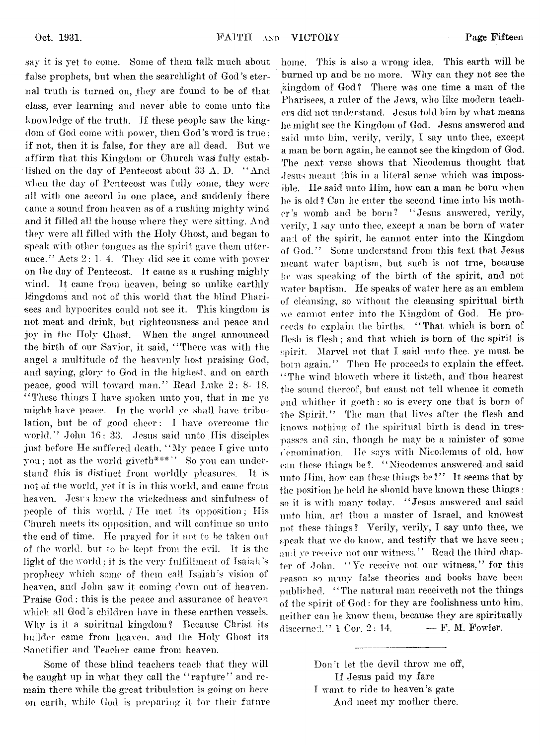say it is yet to come. Some of them talk much about false prophets, but when the searchlight of God's eternal truth is turned on, they are found to be of that class, ever learning and never able to come unto the knowledge of the truth, if these people saw the kingdom of God come with power, then God's word is true ; if not, then it is false, for they are all dead. But we affirm that this Kingdom or Church was fully established on the day of Pentecost about 33 A. D. " And when the day of Pentecost was fully come, they were all with one accord in one place, and suddenly there came a sound from heaven as of a rushing mighty wind and it filled all the house where they were sitting. And they were all filled with the Holy Ghost, and began to speak with other tongues as the spirit gave them utterance." Acts  $2: 1-4$ . They did see it come with power on the day of Pentecost. It came as a rushing mighty wind. It came from heaven, being so unlike earthly kingdoms and not of this world that the blind Pharisees and hypocrites could not see it. This kingdom is not meat and drink, but righteousness and peace and joy in the Holy Ghost. When the angel announced the birth of our Savior, it said, " There was with the angel a multitude of the heavenly host praising God, and saying, glory to God in the highest, and on earth peace, good will toward man." Read Luke 2: 8- 18. " These things I have spoken unto you, that in me ye might, have peace. In the world ye shall have tribulation, but be of good cheer: I have overcome the world." John 16: 33. Jesus said unto His disciples just before He suffered death, " My peace T give unto you; not as the world giveth\*\*\*\*' So you can understand this is distinct from worldly pleasures. It is not of the world, yet it is in this world, and came from heaven. Jesrs knew the wickedness and sinfulness of people of this world, / He met its opposition; His Church meets its opposition, and will continue so unto the end of time. He prayed for it not to be taken out of the world, but to be kept from the evil. It is the light of the world; it is the very fulfillment of Isaiah's prophecy which some of them call Isaiah's vision of heaven, and John saw it coming down out of heaven. Praise God; this is the peace and assurance of heaven which ail God's children have in these earthen vessels. Why is it a spiritual kingdom? Because Christ its builder came from heaven, and the Holy Ghost its •Sanctifier and Teacher came from heaven.

Some of these blind teachers teach that they will be caught up in what they call the "rapture" and remain there while the great tribulation is going on here on earth, while God is preparing it for their future

home. This is also a wrong idea. This earth will be burned up and be no more. Why can they not see the kingdom of God? There was one time a man of the Pharisees, a ruler of the Jews, who like modern teachers did not understand. Jesus told him by what means he might see the Kingdom of God. Jesus answered and said unto him, verily, verily, I say unto thee, except a man be born again, he cannot see the kingdom of God. The next verse shows that Nieodemus thought that Jesus meant this in a literal sense which was impossible. He said unto Him, how can a man be born when he is old? Can he enter the second time into his mother's womb and be born? " Jesus answered, verily, verily, I say unto thee, except a man be born of water and of the spirit, he cannot enter into the Kingdom of God. " Some understand from this text that Jesus meant water baptism, but such is not true, because he was speaking of the birth of the spirit, and not water baptism. He speaks of water here as an emblem of cleansing, so without the cleansing spiritual birth we cannot enter into the Kingdom of God. He proceeds to explain the births. "That which is born of flesh is flesh; and that which is born of the spirit is spirit. Marvel not that I said unto thee, ye must be born again." Then He proceeds to explain the effect. "The wind bloweth where it listeth, and thou hearest the sound thereof, but canst not tell whence it cometh and whither it goeth : so is every one that is born of the Spirit." The man that lives after the flesh and knows nothing of the spiritual birth is dead in trespasses and sin, though he may be a minister of some denomination. He says with Nieodemus of old, how' can these things be?. "Nicodemus answered and said unto Him, how can these things be?" It seems that by the position he held he should have known these things : so it is with many today. " Jesus answered and said unto him, art thou a master of Israel, and knowest not these things? Verily, verily, I say unto thee, we speak that we do know, and testify that we have seen; and ye receive not our witness." Read the third chapter of John. "' Ye receive not our witness," for this reason so many false theories and books have been published. " The natural man receiveth not the things of the spirit of  $God:$  for they are foolishness unto him, neither can he know' them, because they are spiritually discerned.''  $1 \text{ Cor. } 2: 14.$   $\qquad \qquad \text{F. } M.$  Fowler.

> Don't let the devil throw me off, If Jesus paid my fare I want to ride to heaven's gate And meet my mother there.